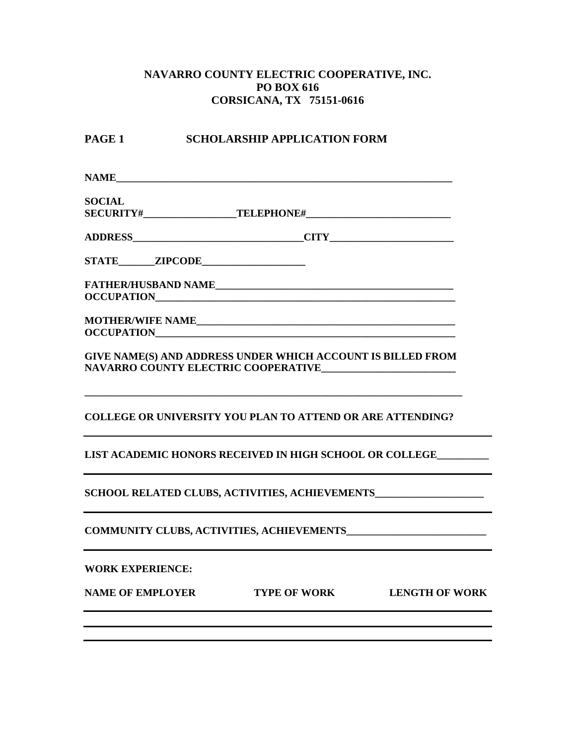## **NAVARRO COUNTY ELECTRIC COOPERATIVE, INC. PO BOX 616 CORSICANA, TX 75151-0616**

## **PAGE 1** SCHOLARSHIP APPLICATION FORM

**NAME** 

**SOCIAL SECURITY#\_\_\_\_\_\_\_\_\_\_\_\_\_\_\_\_\_\_TELEPHONE#\_\_\_\_\_\_\_\_\_\_\_\_\_\_\_\_\_\_\_\_\_\_\_\_\_\_\_\_**

| <b>ADDRESS</b> |
|----------------|
|----------------|

**STATE\_\_\_\_\_\_\_ZIPCODE\_\_\_\_\_\_\_\_\_\_\_\_\_\_\_\_\_\_\_\_**

**FATHER/HUSBAND NAME\_\_\_\_\_\_\_\_\_\_\_\_\_\_\_\_\_\_\_\_\_\_\_\_\_\_\_\_\_\_\_\_\_\_\_\_\_\_\_\_\_\_\_\_\_\_ OCCUPATION\_\_\_\_\_\_\_\_\_\_\_\_\_\_\_\_\_\_\_\_\_\_\_\_\_\_\_\_\_\_\_\_\_\_\_\_\_\_\_\_\_\_\_\_\_\_\_\_\_\_\_\_\_\_\_\_\_\_**

**MOTHER/WIFE NAME\_\_\_\_\_\_\_\_\_\_\_\_\_\_\_\_\_\_\_\_\_\_\_\_\_\_\_\_\_\_\_\_\_\_\_\_\_\_\_\_\_\_\_\_\_\_\_\_\_\_ OCCUPATION** 

**GIVE NAME(S) AND ADDRESS UNDER WHICH ACCOUNT IS BILLED FROM NAVARRO COUNTY ELECTRIC COOPERATIVE\_\_\_\_\_\_\_\_\_\_\_\_\_\_\_\_\_\_\_\_\_\_\_\_\_\_**

**\_\_\_\_\_\_\_\_\_\_\_\_\_\_\_\_\_\_\_\_\_\_\_\_\_\_\_\_\_\_\_\_\_\_\_\_\_\_\_\_\_\_\_\_\_\_\_\_\_\_\_\_\_\_\_\_\_\_\_\_\_\_\_\_\_\_\_\_\_\_\_\_\_**

**COLLEGE OR UNIVERSITY YOU PLAN TO ATTEND OR ARE ATTENDING?**

**LIST ACADEMIC HONORS RECEIVED IN HIGH SCHOOL OR COLLEGE\_\_\_\_\_\_\_\_\_\_**

**SCHOOL RELATED CLUBS, ACTIVITIES, ACHIEVEMENTS\_\_\_\_\_\_\_\_\_\_\_\_\_\_\_\_\_\_\_\_\_**

**COMMUNITY CLUBS, ACTIVITIES, ACHIEVEMENTS\_\_\_\_\_\_\_\_\_\_\_\_\_\_\_\_\_\_\_\_\_\_\_\_\_\_\_**

**WORK EXPERIENCE:**

**NAME OF EMPLOYER TYPE OF WORK LENGTH OF WORK**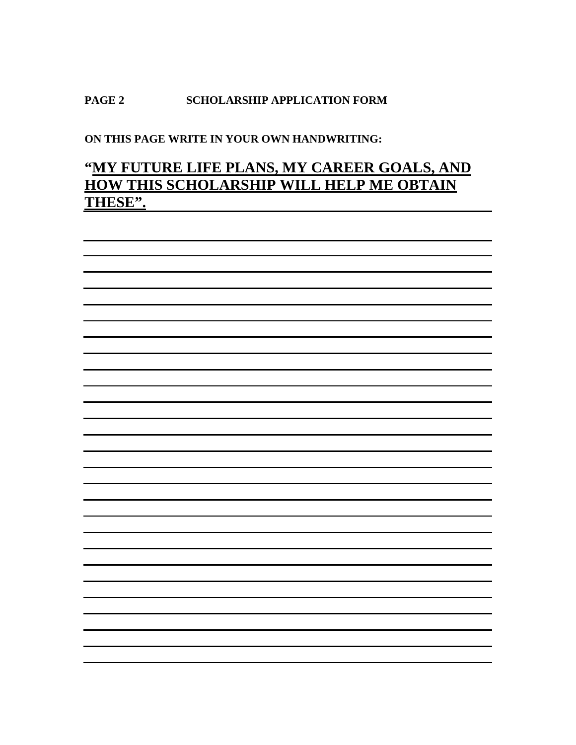## **PAGE 2 SCHOLARSHIP APPLICATION FORM**

**ON THIS PAGE WRITE IN YOUR OWN HANDWRITING:**

# **"MY FUTURE LIFE PLANS, MY CAREER GOALS, AND HOW THIS SCHOLARSHIP WILL HELP ME OBTAIN THESE".**